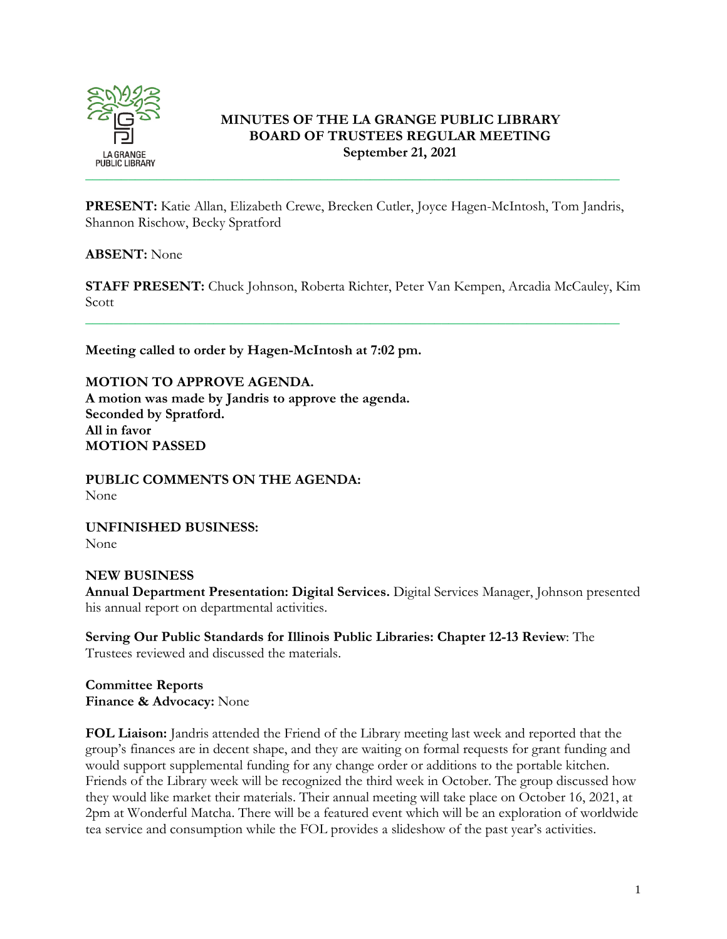

## **MINUTES OF THE LA GRANGE PUBLIC LIBRARY BOARD OF TRUSTEES REGULAR MEETING September 21, 2021**

**PRESENT:** Katie Allan, Elizabeth Crewe, Brecken Cutler, Joyce Hagen-McIntosh, Tom Jandris, Shannon Rischow, Becky Spratford

#### **ABSENT:** None

**STAFF PRESENT:** Chuck Johnson, Roberta Richter, Peter Van Kempen, Arcadia McCauley, Kim Scott

\_\_\_\_\_\_\_\_\_\_\_\_\_\_\_\_\_\_\_\_\_\_\_\_\_\_\_\_\_\_\_\_\_\_\_\_\_\_\_\_\_\_\_\_\_\_\_\_\_\_\_\_\_\_\_\_\_\_\_\_\_\_\_\_\_\_\_\_\_\_\_\_\_\_\_

**Meeting called to order by Hagen-McIntosh at 7:02 pm.** 

**MOTION TO APPROVE AGENDA. A motion was made by Jandris to approve the agenda. Seconded by Spratford. All in favor MOTION PASSED**

**PUBLIC COMMENTS ON THE AGENDA:**  None

**UNFINISHED BUSINESS:**  None

# **NEW BUSINESS Annual Department Presentation: Digital Services.** Digital Services Manager, Johnson presented his annual report on departmental activities.

**Serving Our Public Standards for Illinois Public Libraries: Chapter 12-13 Review**: The Trustees reviewed and discussed the materials.

**Committee Reports Finance & Advocacy:** None

**FOL Liaison:** Jandris attended the Friend of the Library meeting last week and reported that the group's finances are in decent shape, and they are waiting on formal requests for grant funding and would support supplemental funding for any change order or additions to the portable kitchen. Friends of the Library week will be recognized the third week in October. The group discussed how they would like market their materials. Their annual meeting will take place on October 16, 2021, at 2pm at Wonderful Matcha. There will be a featured event which will be an exploration of worldwide tea service and consumption while the FOL provides a slideshow of the past year's activities.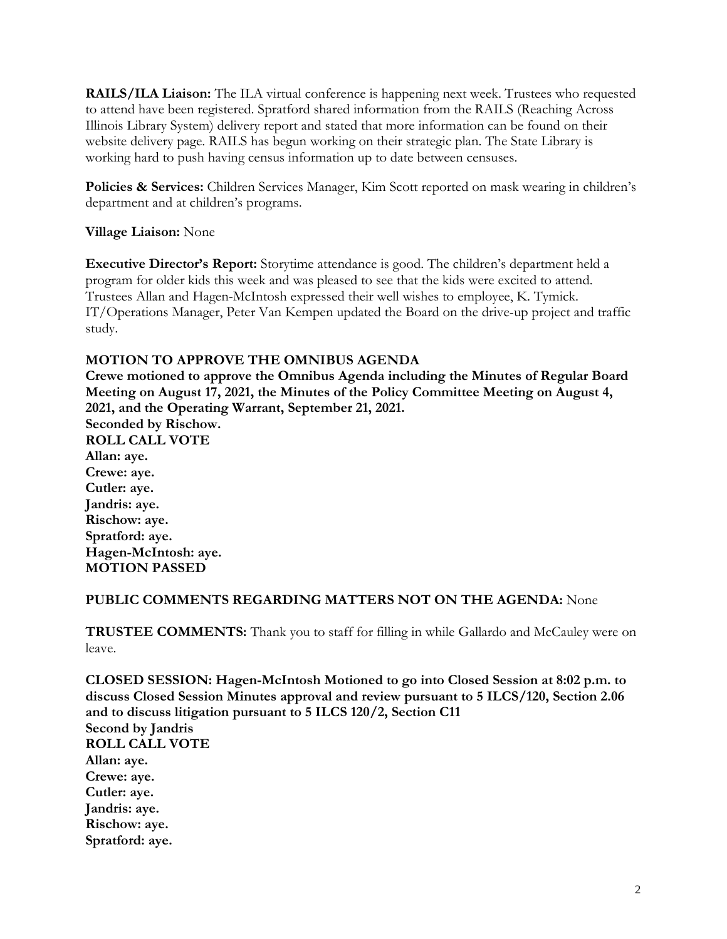**RAILS/ILA Liaison:** The ILA virtual conference is happening next week. Trustees who requested to attend have been registered. Spratford shared information from the RAILS (Reaching Across Illinois Library System) delivery report and stated that more information can be found on their website delivery page. RAILS has begun working on their strategic plan. The State Library is working hard to push having census information up to date between censuses.

**Policies & Services:** Children Services Manager, Kim Scott reported on mask wearing in children's department and at children's programs.

**Village Liaison:** None

**Executive Director's Report:** Storytime attendance is good. The children's department held a program for older kids this week and was pleased to see that the kids were excited to attend. Trustees Allan and Hagen-McIntosh expressed their well wishes to employee, K. Tymick. IT/Operations Manager, Peter Van Kempen updated the Board on the drive-up project and traffic study.

## **MOTION TO APPROVE THE OMNIBUS AGENDA**

**Crewe motioned to approve the Omnibus Agenda including the Minutes of Regular Board Meeting on August 17, 2021, the Minutes of the Policy Committee Meeting on August 4, 2021, and the Operating Warrant, September 21, 2021. Seconded by Rischow. ROLL CALL VOTE Allan: aye. Crewe: aye. Cutler: aye. Jandris: aye. Rischow: aye. Spratford: aye. Hagen-McIntosh: aye. MOTION PASSED**

## **PUBLIC COMMENTS REGARDING MATTERS NOT ON THE AGENDA:** None

**TRUSTEE COMMENTS:** Thank you to staff for filling in while Gallardo and McCauley were on leave.

**CLOSED SESSION: Hagen-McIntosh Motioned to go into Closed Session at 8:02 p.m. to discuss Closed Session Minutes approval and review pursuant to 5 ILCS/120, Section 2.06 and to discuss litigation pursuant to 5 ILCS 120/2, Section C11 Second by Jandris ROLL CALL VOTE Allan: aye. Crewe: aye. Cutler: aye. Jandris: aye. Rischow: aye. Spratford: aye.**